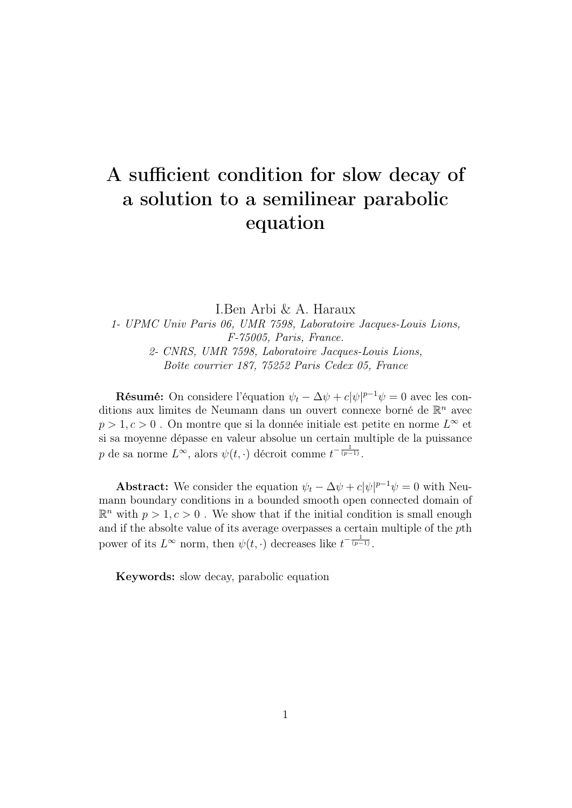# A sufficient condition for slow decay of a solution to a semilinear parabolic equation

I.Ben Arbi & A. Haraux

1- UPMC Univ Paris 06, UMR 7598, Laboratoire Jacques-Louis Lions, F-75005, Paris, France.

2- CNRS, UMR 7598, Laboratoire Jacques-Louis Lions, Boîte courrier 187, 75252 Paris Cedex 05, France

**Résumé:** On considere l'équation  $\psi_t - \Delta \psi + c |\psi|^{p-1} \psi = 0$  avec les conditions aux limites de Neumann dans un ouvert connexe borné de  $\mathbb{R}^n$  avec  $p > 1, c > 0$ . On montre que si la donnée initiale est petite en norme  $L^{\infty}$  et si sa moyenne dépasse en valeur absolue un certain multiple de la puissance p de sa norme  $L^{\infty}$ , alors  $\psi(t, \cdot)$  décroit comme  $t^{-\frac{1}{(p-1)}}$ .

**Abstract:** We consider the equation  $\psi_t - \Delta \psi + c |\psi|^{p-1} \psi = 0$  with Neumann boundary conditions in a bounded smooth open connected domain of  $\mathbb{R}^n$  with  $p > 1, c > 0$ . We show that if the initial condition is small enough and if the absolte value of its average overpasses a certain multiple of the pth power of its  $L^{\infty}$  norm, then  $\psi(t, \cdot)$  decreases like  $t^{-\frac{1}{(p-1)}}$ .

Keywords: slow decay, parabolic equation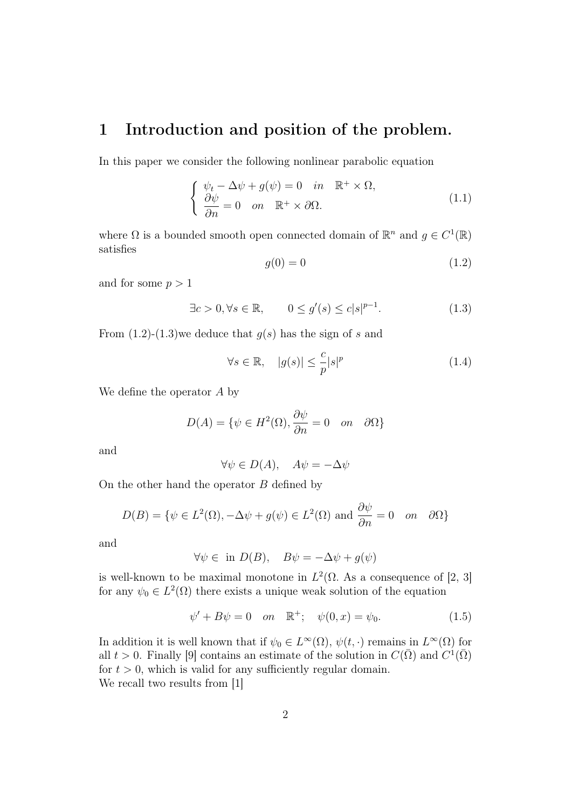#### 1 Introduction and position of the problem.

In this paper we consider the following nonlinear parabolic equation

$$
\begin{cases}\n\psi_t - \Delta \psi + g(\psi) = 0 & \text{in } \mathbb{R}^+ \times \Omega, \\
\frac{\partial \psi}{\partial n} = 0 & \text{on } \mathbb{R}^+ \times \partial \Omega.\n\end{cases}
$$
\n(1.1)

where  $\Omega$  is a bounded smooth open connected domain of  $\mathbb{R}^n$  and  $g \in C^1(\mathbb{R})$ satisfies

$$
g(0) = 0 \tag{1.2}
$$

and for some  $p > 1$ 

$$
\exists c > 0, \forall s \in \mathbb{R}, \qquad 0 \le g'(s) \le c|s|^{p-1}.
$$
 (1.3)

From  $(1.2)-(1.3)$ we deduce that  $g(s)$  has the sign of s and

$$
\forall s \in \mathbb{R}, \quad |g(s)| \le \frac{c}{p} |s|^p \tag{1.4}
$$

We define the operator A by

$$
D(A) = \{ \psi \in H^2(\Omega), \frac{\partial \psi}{\partial n} = 0 \quad on \quad \partial \Omega \}
$$

and

$$
\forall \psi \in D(A), \quad A\psi = -\Delta \psi
$$

On the other hand the operator  $B$  defined by

$$
D(B) = \{ \psi \in L^{2}(\Omega), -\Delta\psi + g(\psi) \in L^{2}(\Omega) \text{ and } \frac{\partial\psi}{\partial n} = 0 \text{ on } \partial\Omega \}
$$

and

$$
\forall \psi \in \text{ in } D(B), \quad B\psi = -\Delta \psi + g(\psi)
$$

is well-known to be maximal monotone in  $L^2(\Omega)$ . As a consequence of [2, 3] for any  $\psi_0 \in L^2(\Omega)$  there exists a unique weak solution of the equation

$$
\psi' + B\psi = 0 \quad on \quad \mathbb{R}^+; \quad \psi(0, x) = \psi_0. \tag{1.5}
$$

In addition it is well known that if  $\psi_0 \in L^{\infty}(\Omega)$ ,  $\psi(t, \cdot)$  remains in  $L^{\infty}(\Omega)$  for all  $t > 0$ . Finally [9] contains an estimate of the solution in  $C(\bar{\Omega})$  and  $C^1(\bar{\Omega})$ for  $t > 0$ , which is valid for any sufficiently regular domain. We recall two results from [1]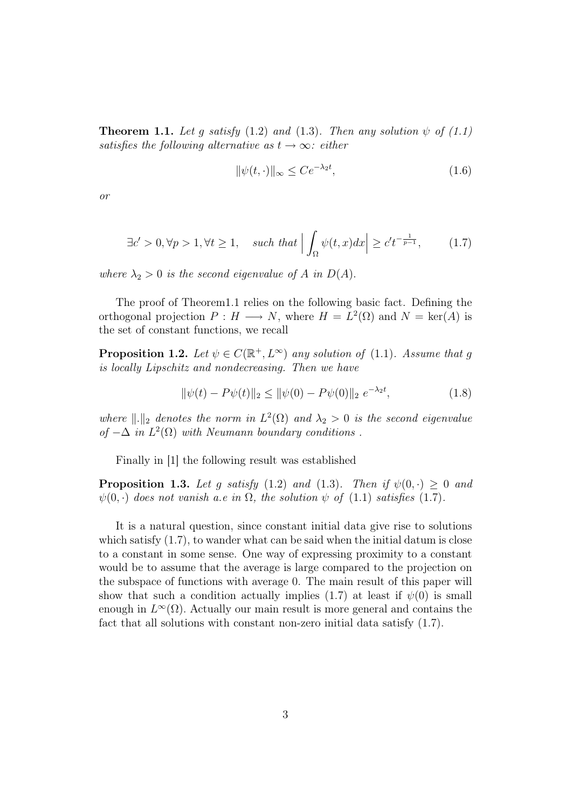**Theorem 1.1.** Let g satisfy (1.2) and (1.3). Then any solution  $\psi$  of (1.1) satisfies the following alternative as  $t \to \infty$ : either

$$
\|\psi(t,\cdot)\|_{\infty} \le Ce^{-\lambda_2 t},\tag{1.6}
$$

or

$$
\exists c' > 0, \forall p > 1, \forall t \ge 1, \quad \text{such that } \left| \int_{\Omega} \psi(t, x) dx \right| \ge c' t^{-\frac{1}{p-1}}, \tag{1.7}
$$

where  $\lambda_2 > 0$  is the second eigenvalue of A in  $D(A)$ .

The proof of Theorem1.1 relies on the following basic fact. Defining the orthogonal projection  $P: H \longrightarrow N$ , where  $H = L^2(\Omega)$  and  $N = \text{ker}(A)$  is the set of constant functions, we recall

**Proposition 1.2.** Let  $\psi \in C(\mathbb{R}^+, L^{\infty})$  any solution of (1.1). Assume that g is locally Lipschitz and nondecreasing. Then we have

$$
\|\psi(t) - P\psi(t)\|_2 \le \|\psi(0) - P\psi(0)\|_2 \ e^{-\lambda_2 t},\tag{1.8}
$$

where  $\|\cdot\|_2$  denotes the norm in  $L^2(\Omega)$  and  $\lambda_2 > 0$  is the second eigenvalue of  $-\Delta$  in  $L^2(\Omega)$  with Neumann boundary conditions.

Finally in [1] the following result was established

**Proposition 1.3.** Let g satisfy (1.2) and (1.3). Then if  $\psi(0, \cdot) \geq 0$  and  $\psi(0, \cdot)$  does not vanish a.e in  $\Omega$ , the solution  $\psi$  of (1.1) satisfies (1.7).

It is a natural question, since constant initial data give rise to solutions which satisfy  $(1.7)$ , to wander what can be said when the initial datum is close to a constant in some sense. One way of expressing proximity to a constant would be to assume that the average is large compared to the projection on the subspace of functions with average 0. The main result of this paper will show that such a condition actually implies (1.7) at least if  $\psi(0)$  is small enough in  $L^{\infty}(\Omega)$ . Actually our main result is more general and contains the fact that all solutions with constant non-zero initial data satisfy (1.7).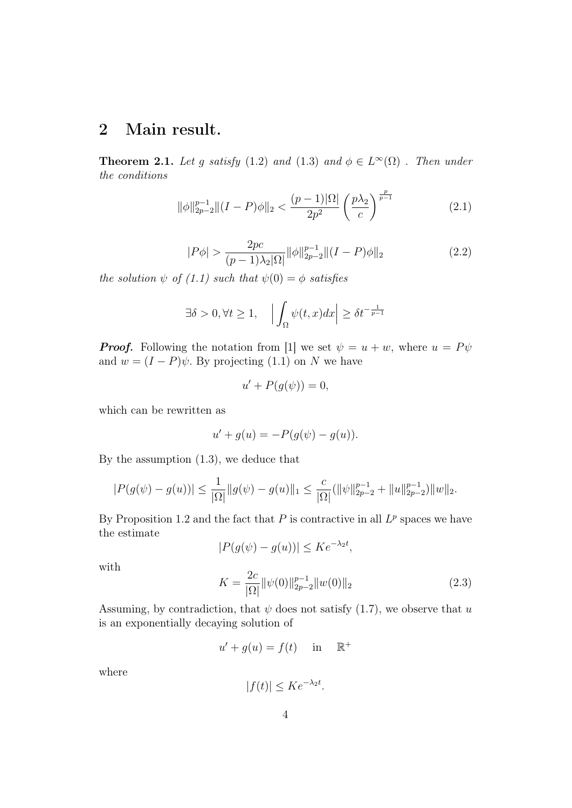## 2 Main result.

**Theorem 2.1.** Let g satisfy (1.2) and (1.3) and  $\phi \in L^{\infty}(\Omega)$ . Then under the conditions

$$
\|\phi\|_{2p-2}^{p-1} \|(I-P)\phi\|_2 < \frac{(p-1)|\Omega|}{2p^2} \left(\frac{p\lambda_2}{c}\right)^{\frac{p}{p-1}}\n\tag{2.1}
$$

$$
|P\phi| > \frac{2pc}{(p-1)\lambda_2|\Omega|} \|\phi\|_{2p-2}^{p-1} \|(I-P)\phi\|_2
$$
 (2.2)

the solution  $\psi$  of (1.1) such that  $\psi(0) = \phi$  satisfies

$$
\exists \delta > 0, \forall t \ge 1, \quad \left| \int_{\Omega} \psi(t, x) dx \right| \ge \delta t^{-\frac{1}{p-1}}
$$

**Proof.** Following the notation from [1] we set  $\psi = u + w$ , where  $u = P\psi$ and  $w = (I - P)\psi$ . By projecting (1.1) on N we have

$$
u' + P(g(\psi)) = 0,
$$

which can be rewritten as

$$
u' + g(u) = -P(g(\psi) - g(u)).
$$

By the assumption (1.3), we deduce that

$$
|P(g(\psi) - g(u))| \le \frac{1}{|\Omega|} ||g(\psi) - g(u)||_1 \le \frac{c}{|\Omega|} (||\psi||_{2p-2}^{p-1} + ||u||_{2p-2}^{p-1}) ||w||_2.
$$

By Proposition 1.2 and the fact that  $P$  is contractive in all  $L^p$  spaces we have the estimate

 $|P(g(\psi) - g(u))| \leq Ke^{-\lambda_2 t},$ 

with

$$
K = \frac{2c}{|\Omega|} \|\psi(0)\|_{2p-2}^{p-1} \|w(0)\|_2 \tag{2.3}
$$

Assuming, by contradiction, that  $\psi$  does not satisfy (1.7), we observe that u is an exponentially decaying solution of

$$
u' + g(u) = f(t) \quad \text{in} \quad \mathbb{R}^+
$$

where

$$
|f(t)| \le K e^{-\lambda_2 t}.
$$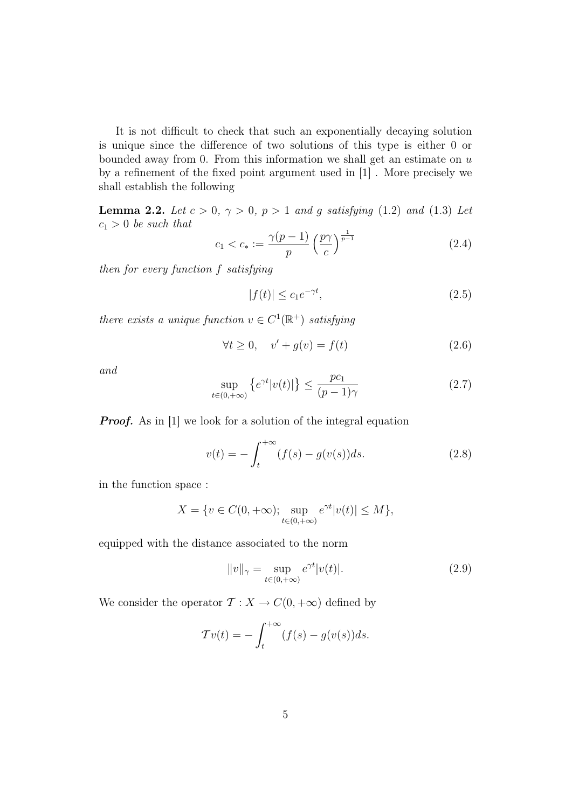It is not difficult to check that such an exponentially decaying solution is unique since the difference of two solutions of this type is either 0 or bounded away from 0. From this information we shall get an estimate on  $u$ by a refinement of the fixed point argument used in [1] . More precisely we shall establish the following

**Lemma 2.2.** Let  $c > 0$ ,  $\gamma > 0$ ,  $p > 1$  and g satisfying (1.2) and (1.3) Let  $c_1 > 0$  be such that

$$
c_1 < c_* := \frac{\gamma(p-1)}{p} \left(\frac{p\gamma}{c}\right)^{\frac{1}{p-1}} \tag{2.4}
$$

then for every function f satisfying

$$
|f(t)| \le c_1 e^{-\gamma t},\tag{2.5}
$$

there exists a unique function  $v \in C^1(\mathbb{R}^+)$  satisfying

$$
\forall t \ge 0, \quad v' + g(v) = f(t) \tag{2.6}
$$

and

$$
\sup_{t \in (0, +\infty)} \left\{ e^{\gamma t} |v(t)| \right\} \le \frac{pc_1}{(p-1)\gamma} \tag{2.7}
$$

**Proof.** As in [1] we look for a solution of the integral equation

$$
v(t) = -\int_{t}^{+\infty} (f(s) - g(v(s))ds.
$$
 (2.8)

in the function space :

$$
X = \{ v \in C(0, +\infty) ; \sup_{t \in (0, +\infty)} e^{\gamma t} |v(t)| \le M \},\
$$

equipped with the distance associated to the norm

$$
||v||_{\gamma} = \sup_{t \in (0, +\infty)} e^{\gamma t} |v(t)|. \tag{2.9}
$$

We consider the operator  $\mathcal{T}: X \to C(0, +\infty)$  defined by

$$
\mathcal{T}v(t) = -\int_{t}^{+\infty} (f(s) - g(v(s))ds).
$$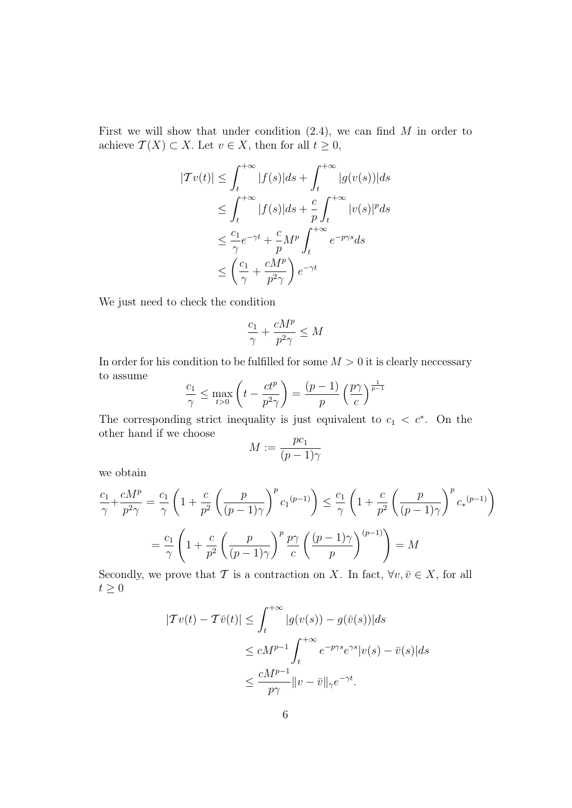First we will show that under condition  $(2.4)$ , we can find M in order to achieve  $\mathcal{T}(X) \subset X$ . Let  $v \in X$ , then for all  $t \geq 0$ ,

$$
|\mathcal{T}v(t)| \leq \int_{t}^{+\infty} |f(s)|ds + \int_{t}^{+\infty} |g(v(s))|ds
$$
  
\n
$$
\leq \int_{t}^{+\infty} |f(s)|ds + \frac{c}{p} \int_{t}^{+\infty} |v(s)|^p ds
$$
  
\n
$$
\leq \frac{c_1}{\gamma} e^{-\gamma t} + \frac{c}{p} M^p \int_{t}^{+\infty} e^{-p\gamma s} ds
$$
  
\n
$$
\leq \left(\frac{c_1}{\gamma} + \frac{cM^p}{p^2\gamma}\right) e^{-\gamma t}
$$

We just need to check the condition

$$
\frac{c_1}{\gamma} + \frac{cM^p}{p^2\gamma} \le M
$$

In order for his condition to be fulfilled for some  $M > 0$  it is clearly necessary to assume

$$
\frac{c_1}{\gamma} \le \max_{t>0} \left( t - \frac{ct^p}{p^2 \gamma} \right) = \frac{(p-1)}{p} \left( \frac{p\gamma}{c} \right)^{\frac{1}{p-1}}
$$

The corresponding strict inequality is just equivalent to  $c_1 < c^*$ . On the other hand if we choose

$$
M:=\frac{pc_1}{(p-1)\gamma}
$$

we obtain

$$
\frac{c_1}{\gamma} + \frac{cM^p}{p^2 \gamma} = \frac{c_1}{\gamma} \left( 1 + \frac{c}{p^2} \left( \frac{p}{(p-1)\gamma} \right)^p c_1^{(p-1)} \right) \le \frac{c_1}{\gamma} \left( 1 + \frac{c}{p^2} \left( \frac{p}{(p-1)\gamma} \right)^p c_2^{(p-1)} \right)
$$

$$
= \frac{c_1}{\gamma} \left( 1 + \frac{c}{p^2} \left( \frac{p}{(p-1)\gamma} \right)^p \frac{p\gamma}{c} \left( \frac{(p-1)\gamma}{p} \right)^{(p-1)} \right) = M
$$

Secondly, we prove that T is a contraction on X. In fact,  $\forall v, \bar{v} \in X$ , for all  $t \geq 0$ 

$$
|Tv(t) - \mathcal{T}\bar{v}(t)| \leq \int_{t}^{+\infty} |g(v(s)) - g(\bar{v}(s))|ds
$$
  

$$
\leq cM^{p-1} \int_{t}^{+\infty} e^{-p\gamma s} e^{\gamma s} |v(s) - \bar{v}(s)|ds
$$
  

$$
\leq \frac{cM^{p-1}}{p\gamma} \|v - \bar{v}\|_{\gamma} e^{-\gamma t}.
$$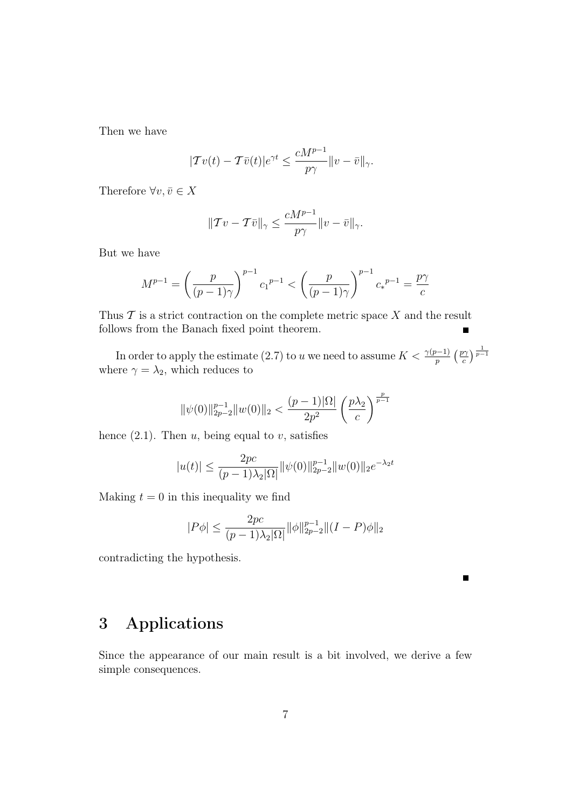Then we have

$$
|Tv(t) - T\bar{v}(t)|e^{\gamma t} \le \frac{cM^{p-1}}{p\gamma}||v - \bar{v}||_{\gamma}.
$$

Therefore  $\forall v, \bar{v} \in X$ 

$$
||\mathcal{T}v - \mathcal{T}\bar{v}||_{\gamma} \le \frac{cM^{p-1}}{p\gamma}||v - \bar{v}||_{\gamma}.
$$

But we have

$$
M^{p-1} = \left(\frac{p}{(p-1)\gamma}\right)^{p-1} c_1^{p-1} < \left(\frac{p}{(p-1)\gamma}\right)^{p-1} c_*^{p-1} = \frac{p\gamma}{c}
$$

Thus  $\mathcal T$  is a strict contraction on the complete metric space  $X$  and the result follows from the Banach fixed point theorem.

In order to apply the estimate (2.7) to u we need to assume  $K < \frac{\gamma(p-1)}{p}$  ( $\frac{p\gamma}{c}$  $\frac{p\gamma}{c}\Big)\frac{1}{p-1}$ where  $\gamma = \lambda_2$ , which reduces to

$$
\|\psi(0)\|_{2p-2}^{p-1}\|w(0)\|_2<\frac{(p-1)|\Omega|}{2p^2}\left(\frac{p\lambda_2}{c}\right)^{\frac{p}{p-1}}
$$

hence  $(2.1)$ . Then  $u$ , being equal to  $v$ , satisfies

$$
|u(t)| \le \frac{2pc}{(p-1)\lambda_2|\Omega|} ||\psi(0)||_{2p-2}^{p-1} ||w(0)||_{2} e^{-\lambda_2 t}
$$

Making  $t = 0$  in this inequality we find

$$
|P\phi| \le \frac{2pc}{(p-1)\lambda_2|\Omega|} \|\phi\|_{2p-2}^{p-1} \|(I-P)\phi\|_2
$$

contradicting the hypothesis.

#### 3 Applications

Since the appearance of our main result is a bit involved, we derive a few simple consequences.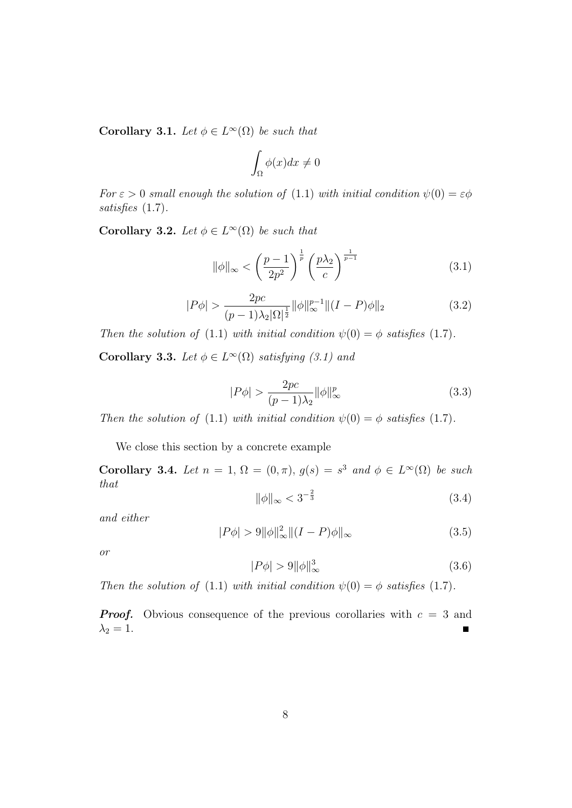Corollary 3.1. Let  $\phi \in L^{\infty}(\Omega)$  be such that

$$
\int_{\Omega} \phi(x)dx \neq 0
$$

For  $\varepsilon > 0$  small enough the solution of (1.1) with initial condition  $\psi(0) = \varepsilon \phi$ satisfies (1.7).

Corollary 3.2. Let  $\phi \in L^{\infty}(\Omega)$  be such that

$$
\|\phi\|_{\infty} < \left(\frac{p-1}{2p^2}\right)^{\frac{1}{p}} \left(\frac{p\lambda_2}{c}\right)^{\frac{1}{p-1}}\tag{3.1}
$$

$$
|P\phi| > \frac{2pc}{(p-1)\lambda_2|\Omega|^{\frac{1}{2}}} ||\phi||_{\infty}^{p-1} ||(I-P)\phi||_2
$$
 (3.2)

Then the solution of (1.1) with initial condition  $\psi(0) = \phi$  satisfies (1.7). **Corollary 3.3.** Let  $\phi \in L^{\infty}(\Omega)$  satisfying (3.1) and

$$
|P\phi| > \frac{2pc}{(p-1)\lambda_2} ||\phi||_{\infty}^p \tag{3.3}
$$

Then the solution of (1.1) with initial condition  $\psi(0) = \phi$  satisfies (1.7).

We close this section by a concrete example

Corollary 3.4. Let  $n = 1$ ,  $\Omega = (0, \pi)$ ,  $g(s) = s^3$  and  $\phi \in L^{\infty}(\Omega)$  be such that

$$
\|\phi\|_{\infty} < 3^{-\frac{2}{3}} \tag{3.4}
$$

and either

$$
|P\phi| > 9 \|\phi\|_{\infty}^2 \|(I - P)\phi\|_{\infty}
$$
 (3.5)

or

$$
|P\phi| > 9 \|\phi\|_{\infty}^3 \tag{3.6}
$$

Then the solution of (1.1) with initial condition  $\psi(0) = \phi$  satisfies (1.7).

**Proof.** Obvious consequence of the previous corollaries with  $c = 3$  and  $\lambda_2=1.$